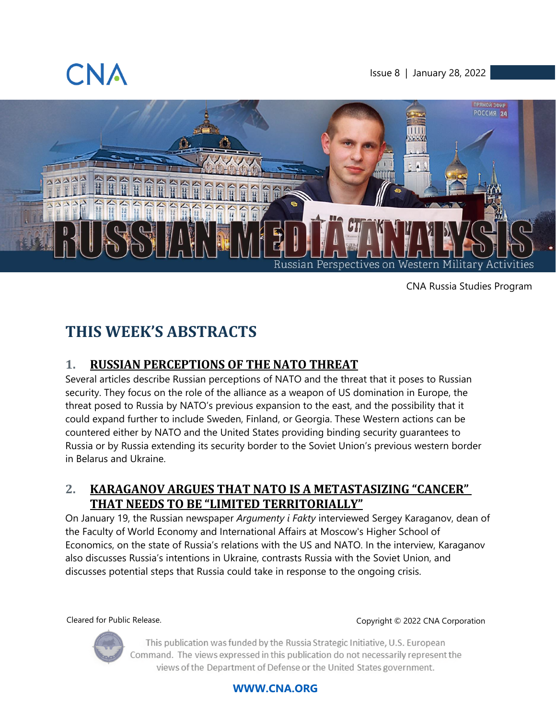

Issue 8 | January 28, 2022



CNA Russia Studies Program

# **THIS WEEK'S ABSTRACTS**

### **1. [RUSSIAN PERCEPTIONS OF THE NATO THREAT](#page-4-0)**

Several articles describe Russian perceptions of NATO and the threat that it poses to Russian security. They focus on the role of the alliance as a weapon of US domination in Europe, the threat posed to Russia by NATO's previous expansion to the east, and the possibility that it could expand further to include Sweden, Finland, or Georgia. These Western actions can be countered either by NATO and the United States providing binding security guarantees to Russia or by Russia extending its security border to the Soviet Union's previous western border in Belarus and Ukraine.

### **2. [KARAGANOV ARGUES THAT NATO IS A METASTASIZING "CANCER"](#page-5-0)  [THAT NEEDS TO BE "LIMITED TERRITORIALLY"](#page-5-0)**

On January 19, the Russian newspaper *Argumenty i Fakty* interviewed Sergey Karaganov, dean of the Faculty of World Economy and International Affairs at Moscow's Higher School of Economics, on the state of Russia's relations with the US and NATO. In the interview, Karaganov also discusses Russia's intentions in Ukraine, contrasts Russia with the Soviet Union, and discusses potential steps that Russia could take in response to the ongoing crisis.

Cleared for Public Release. Copyright © 2022 CNA Corporation



This publication was funded by the Russia Strategic Initiative, U.S. European Command. The views expressed in this publication do not necessarily represent the views of the Department of Defense or the United States government.

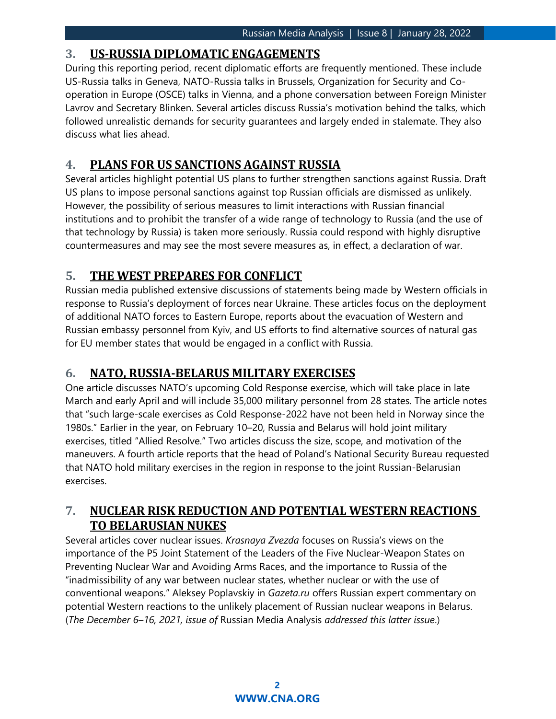### **3. [US-RUSSIA DIPLOMATIC ENGAGEMENTS](#page-6-0)**

During this reporting period, recent diplomatic efforts are frequently mentioned. These include US-Russia talks in Geneva, NATO-Russia talks in Brussels, Organization for Security and Cooperation in Europe (OSCE) talks in Vienna, and a phone conversation between Foreign Minister Lavrov and Secretary Blinken. Several articles discuss Russia's motivation behind the talks, which followed unrealistic demands for security guarantees and largely ended in stalemate. They also discuss what lies ahead.

### **4. [PLANS FOR US SANCTIONS AGAINST RUSSIA](#page-7-0)**

Several articles highlight potential US plans to further strengthen sanctions against Russia. Draft US plans to impose personal sanctions against top Russian officials are dismissed as unlikely. However, the possibility of serious measures to limit interactions with Russian financial institutions and to prohibit the transfer of a wide range of technology to Russia (and the use of that technology by Russia) is taken more seriously. Russia could respond with highly disruptive countermeasures and may see the most severe measures as, in effect, a declaration of war.

### **5. [THE WEST PREPARES FOR CONFLICT](#page-8-0)**

Russian media published extensive discussions of statements being made by Western officials in response to Russia's deployment of forces near Ukraine. These articles focus on the deployment of additional NATO forces to Eastern Europe, reports about the evacuation of Western and Russian embassy personnel from Kyiv, and US efforts to find alternative sources of natural gas for EU member states that would be engaged in a conflict with Russia.

### **6. [NATO, RUSSIA-BELARUS MILITARY EXERCISES](#page-9-0)**

One article discusses NATO's upcoming Cold Response exercise, which will take place in late March and early April and will include 35,000 military personnel from 28 states. The article notes that "such large-scale exercises as Cold Response-2022 have not been held in Norway since the 1980s." Earlier in the year, on February 10–20, Russia and Belarus will hold joint military exercises, titled "Allied Resolve." Two articles discuss the size, scope, and motivation of the maneuvers. A fourth article reports that the head of Poland's National Security Bureau requested that NATO hold military exercises in the region in response to the joint Russian-Belarusian exercises.

### **7. [NUCLEAR RISK REDUCTION AND POTENTIAL WESTERN REACTIONS](#page-10-0)  [TO BELARUSIAN NUKES](#page-10-0)**

Several articles cover nuclear issues. *Krasnaya Zvezda* focuses on Russia's views on the importance of the P5 Joint Statement of the Leaders of the Five Nuclear-Weapon States on Preventing Nuclear War and Avoiding Arms Races, and the importance to Russia of the "inadmissibility of any war between nuclear states, whether nuclear or with the use of conventional weapons." Aleksey Poplavskiy in *Gazeta.ru* offers Russian expert commentary on potential Western reactions to the unlikely placement of Russian nuclear weapons in Belarus. (*The December 6–16, 2021, issue of* Russian Media Analysis *addressed this latter issue*.)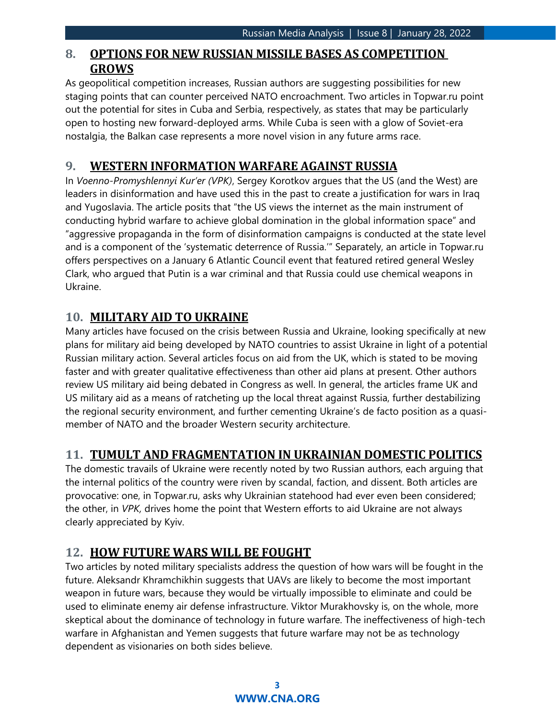### **8. [OPTIONS FOR NEW RUSSIAN MISSILE BASES AS COMPETITION](#page-11-0)  [GROWS](#page-11-0)**

As geopolitical competition increases, Russian authors are suggesting possibilities for new staging points that can counter perceived NATO encroachment. Two articles in Topwar.ru point out the potential for sites in Cuba and Serbia, respectively, as states that may be particularly open to hosting new forward-deployed arms. While Cuba is seen with a glow of Soviet-era nostalgia, the Balkan case represents a more novel vision in any future arms race.

### **9. [WESTERN INFORMATION WARFARE AGAINST RUSSIA](#page-11-1)**

In *Voenno-Promyshlennyi Kur'er (VPK)*, Sergey Korotkov argues that the US (and the West) are leaders in disinformation and have used this in the past to create a justification for wars in Iraq and Yugoslavia. The article posits that "the US views the internet as the main instrument of conducting hybrid warfare to achieve global domination in the global information space" and "aggressive propaganda in the form of disinformation campaigns is conducted at the state level and is a component of the 'systematic deterrence of Russia.'" Separately, an article in Topwar.ru offers perspectives on a January 6 Atlantic Council event that featured retired general Wesley Clark, who argued that Putin is a war criminal and that Russia could use chemical weapons in Ukraine.

### **10. [MILITARY AID TO UKRAINE](#page-12-0)**

Many articles have focused on the crisis between Russia and Ukraine, looking specifically at new plans for military aid being developed by NATO countries to assist Ukraine in light of a potential Russian military action. Several articles focus on aid from the UK, which is stated to be moving faster and with greater qualitative effectiveness than other aid plans at present. Other authors review US military aid being debated in Congress as well. In general, the articles frame UK and US military aid as a means of ratcheting up the local threat against Russia, further destabilizing the regional security environment, and further cementing Ukraine's de facto position as a quasimember of NATO and the broader Western security architecture.

### **11. [TUMULT AND FRAGMENTATION IN UKRAINIAN DOMESTIC POLITICS](#page-13-0)**

The domestic travails of Ukraine were recently noted by two Russian authors, each arguing that the internal politics of the country were riven by scandal, faction, and dissent. Both articles are provocative: one, in Topwar.ru, asks why Ukrainian statehood had ever even been considered; the other, in *VPK,* drives home the point that Western efforts to aid Ukraine are not always clearly appreciated by Kyiv.

### **12. [HOW FUTURE WARS WILL BE FOUGHT](#page-13-1)**

Two articles by noted military specialists address the question of how wars will be fought in the future. Aleksandr Khramchikhin suggests that UAVs are likely to become the most important weapon in future wars, because they would be virtually impossible to eliminate and could be used to eliminate enemy air defense infrastructure. Viktor Murakhovsky is, on the whole, more skeptical about the dominance of technology in future warfare. The ineffectiveness of high-tech warfare in Afghanistan and Yemen suggests that future warfare may not be as technology dependent as visionaries on both sides believe.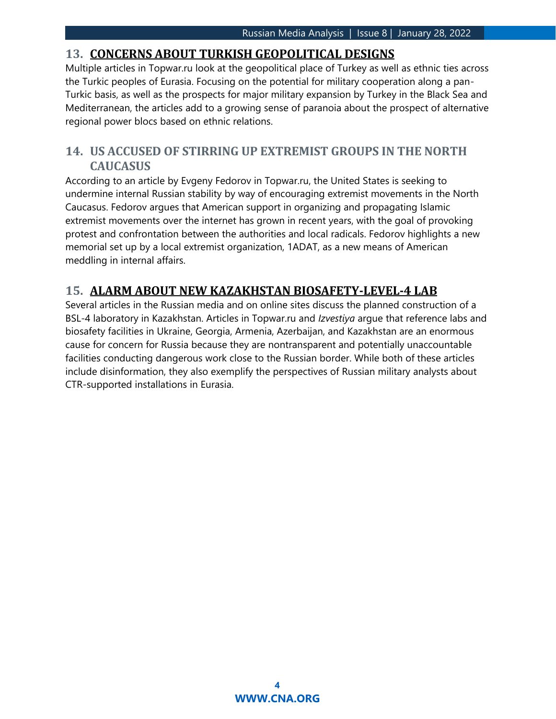### **13. [CONCERNS ABOUT TURKISH GEOPOLITICAL DESIGNS](#page-14-0)**

Multiple articles in Topwar.ru look at the geopolitical place of Turkey as well as ethnic ties across the Turkic peoples of Eurasia. Focusing on the potential for military cooperation along a pan-Turkic basis, as well as the prospects for major military expansion by Turkey in the Black Sea and Mediterranean, the articles add to a growing sense of paranoia about the prospect of alternative regional power blocs based on ethnic relations.

### **14. [US ACCUSED OF STIRRING UP EXTREMIST GROUPS IN THE NORTH](#page-15-0)  [CAUCASUS](#page-15-0)**

According to an article by Evgeny Fedorov in Topwar.ru, the United States is seeking to undermine internal Russian stability by way of encouraging extremist movements in the North Caucasus. Fedorov argues that American support in organizing and propagating Islamic extremist movements over the internet has grown in recent years, with the goal of provoking protest and confrontation between the authorities and local radicals. Fedorov highlights a new memorial set up by a local extremist organization, 1ADAT, as a new means of American meddling in internal affairs.

### **15. [ALARM ABOUT NEW KAZAKHSTAN BIOSAFETY-LEVEL-4 LAB](#page-15-1)**

Several articles in the Russian media and on online sites discuss the planned construction of a BSL-4 laboratory in Kazakhstan. Articles in Topwar.ru and *Izvestiya* argue that reference labs and biosafety facilities in Ukraine, Georgia, Armenia, Azerbaijan, and Kazakhstan are an enormous cause for concern for Russia because they are nontransparent and potentially unaccountable facilities conducting dangerous work close to the Russian border. While both of these articles include disinformation, they also exemplify the perspectives of Russian military analysts about CTR-supported installations in Eurasia.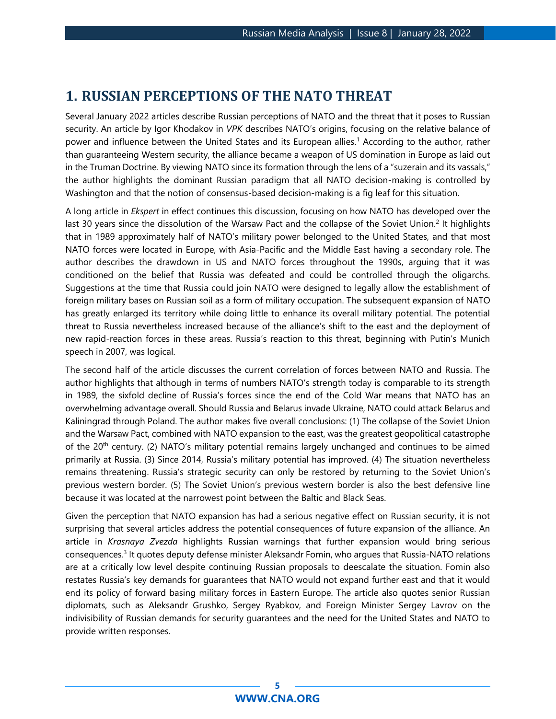### <span id="page-4-0"></span>**1. RUSSIAN PERCEPTIONS OF THE NATO THREAT**

Several January 2022 articles describe Russian perceptions of NATO and the threat that it poses to Russian security. An article by Igor Khodakov in *VPK* describes NATO's origins, focusing on the relative balance of power and influence between the United States and its European allies.<sup>1</sup> According to the author, rather than guaranteeing Western security, the alliance became a weapon of US domination in Europe as laid out in the Truman Doctrine. By viewing NATO since its formation through the lens of a "suzerain and its vassals," the author highlights the dominant Russian paradigm that all NATO decision-making is controlled by Washington and that the notion of consensus-based decision-making is a fig leaf for this situation.

A long article in *Ekspert* in effect continues this discussion, focusing on how NATO has developed over the last 30 years since the dissolution of the Warsaw Pact and the collapse of the Soviet Union.<sup>2</sup> It highlights that in 1989 approximately half of NATO's military power belonged to the United States, and that most NATO forces were located in Europe, with Asia-Pacific and the Middle East having a secondary role. The author describes the drawdown in US and NATO forces throughout the 1990s, arguing that it was conditioned on the belief that Russia was defeated and could be controlled through the oligarchs. Suggestions at the time that Russia could join NATO were designed to legally allow the establishment of foreign military bases on Russian soil as a form of military occupation. The subsequent expansion of NATO has greatly enlarged its territory while doing little to enhance its overall military potential. The potential threat to Russia nevertheless increased because of the alliance's shift to the east and the deployment of new rapid-reaction forces in these areas. Russia's reaction to this threat, beginning with Putin's Munich speech in 2007, was logical.

The second half of the article discusses the current correlation of forces between NATO and Russia. The author highlights that although in terms of numbers NATO's strength today is comparable to its strength in 1989, the sixfold decline of Russia's forces since the end of the Cold War means that NATO has an overwhelming advantage overall. Should Russia and Belarus invade Ukraine, NATO could attack Belarus and Kaliningrad through Poland. The author makes five overall conclusions: (1) The collapse of the Soviet Union and the Warsaw Pact, combined with NATO expansion to the east, was the greatest geopolitical catastrophe of the 20th century. (2) NATO's military potential remains largely unchanged and continues to be aimed primarily at Russia. (3) Since 2014, Russia's military potential has improved. (4) The situation nevertheless remains threatening. Russia's strategic security can only be restored by returning to the Soviet Union's previous western border. (5) The Soviet Union's previous western border is also the best defensive line because it was located at the narrowest point between the Baltic and Black Seas.

Given the perception that NATO expansion has had a serious negative effect on Russian security, it is not surprising that several articles address the potential consequences of future expansion of the alliance. An article in *Krasnaya Zvezda* highlights Russian warnings that further expansion would bring serious consequences.<sup>3</sup> It quotes deputy defense minister Aleksandr Fomin, who argues that Russia-NATO relations are at a critically low level despite continuing Russian proposals to deescalate the situation. Fomin also restates Russia's key demands for guarantees that NATO would not expand further east and that it would end its policy of forward basing military forces in Eastern Europe. The article also quotes senior Russian diplomats, such as Aleksandr Grushko, Sergey Ryabkov, and Foreign Minister Sergey Lavrov on the indivisibility of Russian demands for security guarantees and the need for the United States and NATO to provide written responses.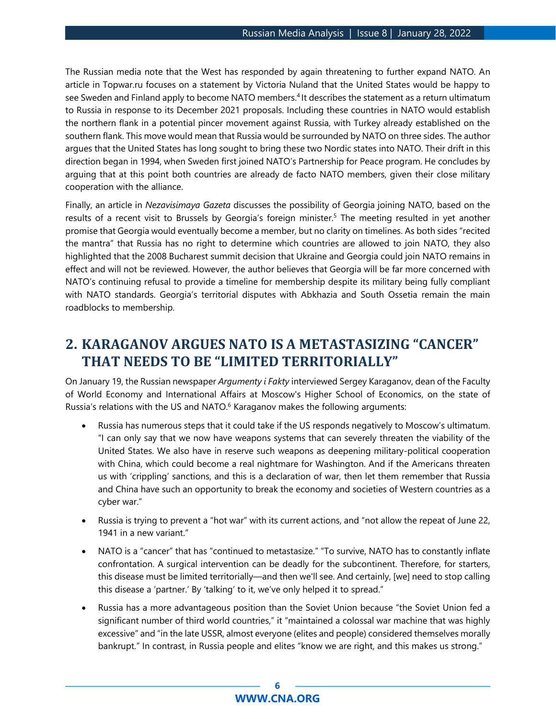The Russian media note that the West has responded by again threatening to further expand NATO. An article in Topwar.ru focuses on a statement by Victoria Nuland that the United States would be happy to see Sweden and Finland apply to become NATO members.<sup>4</sup> It describes the statement as a return ultimatum to Russia in response to its December 2021 proposals. Including these countries in NATO would establish the northern flank in a potential pincer movement against Russia, with Turkey already established on the southern flank. This move would mean that Russia would be surrounded by NATO on three sides. The author argues that the United States has long sought to bring these two Nordic states into NATO. Their drift in this direction began in 1994, when Sweden first joined NATO's Partnership for Peace program. He concludes by arguing that at this point both countries are already de facto NATO members, given their close military cooperation with the alliance.

Finally, an article in *Nezavisimaya Gazeta* discusses the possibility of Georgia joining NATO, based on the results of a recent visit to Brussels by Georgia's foreign minister.<sup>5</sup> The meeting resulted in yet another promise that Georgia would eventually become a member, but no clarity on timelines. As both sides "recited the mantra" that Russia has no right to determine which countries are allowed to join NATO, they also highlighted that the 2008 Bucharest summit decision that Ukraine and Georgia could join NATO remains in effect and will not be reviewed. However, the author believes that Georgia will be far more concerned with NATO's continuing refusal to provide a timeline for membership despite its military being fully compliant with NATO standards. Georgia's territorial disputes with Abkhazia and South Ossetia remain the main roadblocks to membership.

## <span id="page-5-0"></span>**2. KARAGANOV ARGUES NATO IS A METASTASIZING "CANCER" THAT NEEDS TO BE "LIMITED TERRITORIALLY"**

On January 19, the Russian newspaper *Argumenty i Fakty* interviewed Sergey Karaganov, dean of the Faculty of World Economy and International Affairs at Moscow's Higher School of Economics, on the state of Russia's relations with the US and NATO.<sup>6</sup> Karaganov makes the following arguments:

- Russia has numerous steps that it could take if the US responds negatively to Moscow's ultimatum. "I can only say that we now have weapons systems that can severely threaten the viability of the United States. We also have in reserve such weapons as deepening military-political cooperation with China, which could become a real nightmare for Washington. And if the Americans threaten us with 'crippling' sanctions, and this is a declaration of war, then let them remember that Russia and China have such an opportunity to break the economy and societies of Western countries as a cyber war."
- Russia is trying to prevent a "hot war" with its current actions, and "not allow the repeat of June 22, 1941 in a new variant."
- NATO is a "cancer" that has "continued to metastasize." "To survive, NATO has to constantly inflate confrontation. A surgical intervention can be deadly for the subcontinent. Therefore, for starters, this disease must be limited territorially—and then we'll see. And certainly, [we] need to stop calling this disease a 'partner.' By 'talking' to it, we've only helped it to spread."
- Russia has a more advantageous position than the Soviet Union because "the Soviet Union fed a significant number of third world countries," it "maintained a colossal war machine that was highly excessive" and "in the late USSR, almost everyone (elites and people) considered themselves morally bankrupt." In contrast, in Russia people and elites "know we are right, and this makes us strong."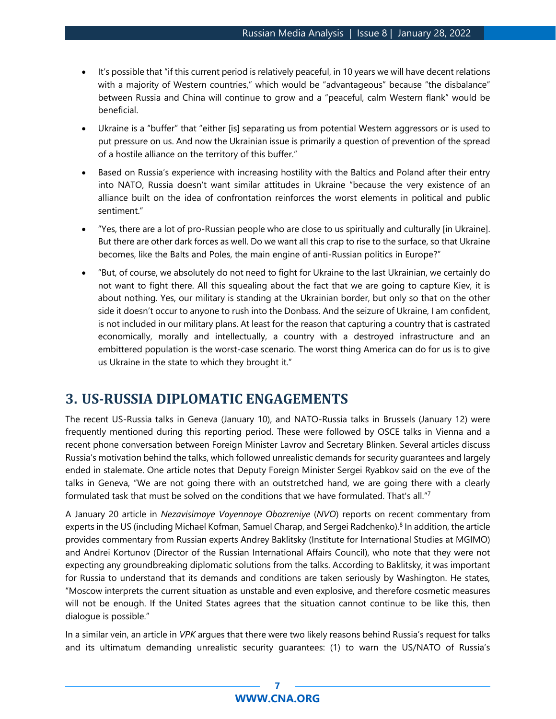- It's possible that "if this current period is relatively peaceful, in 10 years we will have decent relations with a majority of Western countries," which would be "advantageous" because "the disbalance" between Russia and China will continue to grow and a "peaceful, calm Western flank" would be beneficial.
- Ukraine is a "buffer" that "either [is] separating us from potential Western aggressors or is used to put pressure on us. And now the Ukrainian issue is primarily a question of prevention of the spread of a hostile alliance on the territory of this buffer."
- Based on Russia's experience with increasing hostility with the Baltics and Poland after their entry into NATO, Russia doesn't want similar attitudes in Ukraine "because the very existence of an alliance built on the idea of confrontation reinforces the worst elements in political and public sentiment."
- "Yes, there are a lot of pro-Russian people who are close to us spiritually and culturally [in Ukraine]. But there are other dark forces as well. Do we want all this crap to rise to the surface, so that Ukraine becomes, like the Balts and Poles, the main engine of anti-Russian politics in Europe?"
- "But, of course, we absolutely do not need to fight for Ukraine to the last Ukrainian, we certainly do not want to fight there. All this squealing about the fact that we are going to capture Kiev, it is about nothing. Yes, our military is standing at the Ukrainian border, but only so that on the other side it doesn't occur to anyone to rush into the Donbass. And the seizure of Ukraine, I am confident, is not included in our military plans. At least for the reason that capturing a country that is castrated economically, morally and intellectually, a country with a destroyed infrastructure and an embittered population is the worst-case scenario. The worst thing America can do for us is to give us Ukraine in the state to which they brought it."

### <span id="page-6-0"></span>**3. US-RUSSIA DIPLOMATIC ENGAGEMENTS**

The recent US-Russia talks in Geneva (January 10), and NATO-Russia talks in Brussels (January 12) were frequently mentioned during this reporting period. These were followed by OSCE talks in Vienna and a recent phone conversation between Foreign Minister Lavrov and Secretary Blinken. Several articles discuss Russia's motivation behind the talks, which followed unrealistic demands for security guarantees and largely ended in stalemate. One article notes that Deputy Foreign Minister Sergei Ryabkov said on the eve of the talks in Geneva, "We are not going there with an outstretched hand, we are going there with a clearly formulated task that must be solved on the conditions that we have formulated. That's all."<sup>7</sup>

A January 20 article in *Nezavisimoye Voyennoye Obozreniye* (*NVO*) reports on recent commentary from experts in the US (including Michael Kofman, Samuel Charap, and Sergei Radchenko).<sup>8</sup> In addition, the article provides commentary from Russian experts Andrey Baklitsky (Institute for International Studies at MGIMO) and Andrei Kortunov (Director of the Russian International Affairs Council), who note that they were not expecting any groundbreaking diplomatic solutions from the talks. According to Baklitsky, it was important for Russia to understand that its demands and conditions are taken seriously by Washington. He states, "Moscow interprets the current situation as unstable and even explosive, and therefore cosmetic measures will not be enough. If the United States agrees that the situation cannot continue to be like this, then dialogue is possible."

In a similar vein, an article in *VPK* argues that there were two likely reasons behind Russia's request for talks and its ultimatum demanding unrealistic security guarantees: (1) to warn the US/NATO of Russia's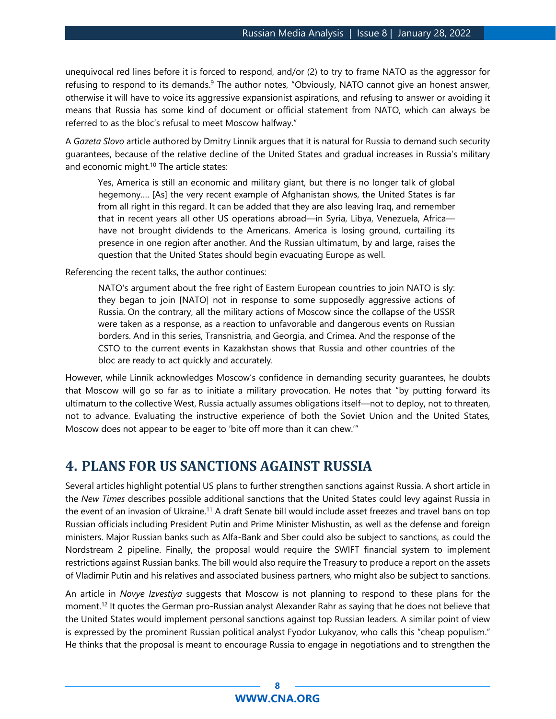unequivocal red lines before it is forced to respond, and/or (2) to try to frame NATO as the aggressor for refusing to respond to its demands.<sup>9</sup> The author notes, "Obviously, NATO cannot give an honest answer, otherwise it will have to voice its aggressive expansionist aspirations, and refusing to answer or avoiding it means that Russia has some kind of document or official statement from NATO, which can always be referred to as the bloc's refusal to meet Moscow halfway."

A *Gazeta Slovo* article authored by Dmitry Linnik argues that it is natural for Russia to demand such security guarantees, because of the relative decline of the United States and gradual increases in Russia's military and economic might.<sup>10</sup> The article states:

Yes, America is still an economic and military giant, but there is no longer talk of global hegemony.… [As] the very recent example of Afghanistan shows, the United States is far from all right in this regard. It can be added that they are also leaving Iraq, and remember that in recent years all other US operations abroad—in Syria, Libya, Venezuela, Africa have not brought dividends to the Americans. America is losing ground, curtailing its presence in one region after another. And the Russian ultimatum, by and large, raises the question that the United States should begin evacuating Europe as well.

Referencing the recent talks, the author continues:

NATO's argument about the free right of Eastern European countries to join NATO is sly: they began to join [NATO] not in response to some supposedly aggressive actions of Russia. On the contrary, all the military actions of Moscow since the collapse of the USSR were taken as a response, as a reaction to unfavorable and dangerous events on Russian borders. And in this series, Transnistria, and Georgia, and Crimea. And the response of the CSTO to the current events in Kazakhstan shows that Russia and other countries of the bloc are ready to act quickly and accurately.

However, while Linnik acknowledges Moscow's confidence in demanding security guarantees, he doubts that Moscow will go so far as to initiate a military provocation. He notes that "by putting forward its ultimatum to the collective West, Russia actually assumes obligations itself—not to deploy, not to threaten, not to advance. Evaluating the instructive experience of both the Soviet Union and the United States, Moscow does not appear to be eager to 'bite off more than it can chew.'"

### <span id="page-7-0"></span>**4. PLANS FOR US SANCTIONS AGAINST RUSSIA**

Several articles highlight potential US plans to further strengthen sanctions against Russia. A short article in the *New Times* describes possible additional sanctions that the United States could levy against Russia in the event of an invasion of Ukraine.<sup>11</sup> A draft Senate bill would include asset freezes and travel bans on top Russian officials including President Putin and Prime Minister Mishustin, as well as the defense and foreign ministers. Major Russian banks such as Alfa-Bank and Sber could also be subject to sanctions, as could the Nordstream 2 pipeline. Finally, the proposal would require the SWIFT financial system to implement restrictions against Russian banks. The bill would also require the Treasury to produce a report on the assets of Vladimir Putin and his relatives and associated business partners, who might also be subject to sanctions.

An article in *Novye Izvestiya* suggests that Moscow is not planning to respond to these plans for the moment.<sup>12</sup> It quotes the German pro-Russian analyst Alexander Rahr as saying that he does not believe that the United States would implement personal sanctions against top Russian leaders. A similar point of view is expressed by the prominent Russian political analyst Fyodor Lukyanov, who calls this "cheap populism." He thinks that the proposal is meant to encourage Russia to engage in negotiations and to strengthen the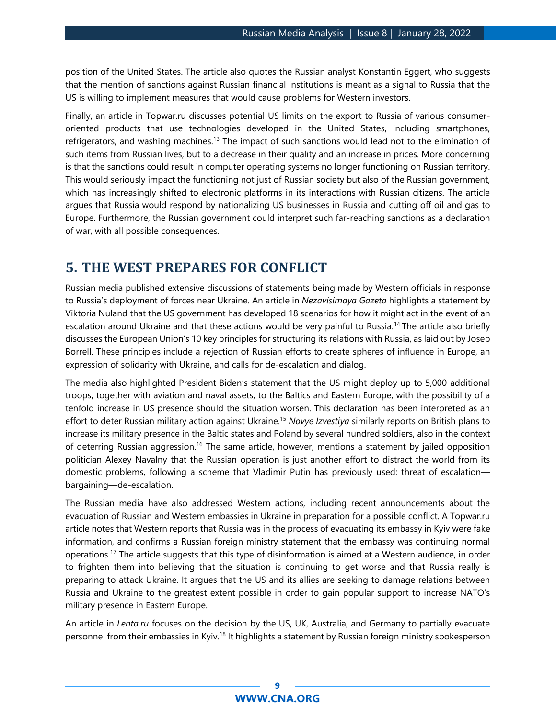position of the United States. The article also quotes the Russian analyst Konstantin Eggert, who suggests that the mention of sanctions against Russian financial institutions is meant as a signal to Russia that the US is willing to implement measures that would cause problems for Western investors.

Finally, an article in Topwar.ru discusses potential US limits on the export to Russia of various consumeroriented products that use technologies developed in the United States, including smartphones, refrigerators, and washing machines.<sup>13</sup> The impact of such sanctions would lead not to the elimination of such items from Russian lives, but to a decrease in their quality and an increase in prices. More concerning is that the sanctions could result in computer operating systems no longer functioning on Russian territory. This would seriously impact the functioning not just of Russian society but also of the Russian government, which has increasingly shifted to electronic platforms in its interactions with Russian citizens. The article argues that Russia would respond by nationalizing US businesses in Russia and cutting off oil and gas to Europe. Furthermore, the Russian government could interpret such far-reaching sanctions as a declaration of war, with all possible consequences.

### <span id="page-8-0"></span>**5. THE WEST PREPARES FOR CONFLICT**

Russian media published extensive discussions of statements being made by Western officials in response to Russia's deployment of forces near Ukraine. An article in *Nezavisimaya Gazeta* highlights a statement by Viktoria Nuland that the US government has developed 18 scenarios for how it might act in the event of an escalation around Ukraine and that these actions would be very painful to Russia.<sup>14</sup> The article also briefly discusses the European Union's 10 key principles for structuring its relations with Russia, as laid out by Josep Borrell. These principles include a rejection of Russian efforts to create spheres of influence in Europe, an expression of solidarity with Ukraine, and calls for de-escalation and dialog.

The media also highlighted President Biden's statement that the US might deploy up to 5,000 additional troops, together with aviation and naval assets, to the Baltics and Eastern Europe, with the possibility of a tenfold increase in US presence should the situation worsen. This declaration has been interpreted as an effort to deter Russian military action against Ukraine.<sup>15</sup> *Novye Izvestiya* similarly reports on British plans to increase its military presence in the Baltic states and Poland by several hundred soldiers, also in the context of deterring Russian aggression.<sup>16</sup> The same article, however, mentions a statement by jailed opposition politician Alexey Navalny that the Russian operation is just another effort to distract the world from its domestic problems, following a scheme that Vladimir Putin has previously used: threat of escalation bargaining—de-escalation.

The Russian media have also addressed Western actions, including recent announcements about the evacuation of Russian and Western embassies in Ukraine in preparation for a possible conflict. A Topwar.ru article notes that Western reports that Russia was in the process of evacuating its embassy in Kyiv were fake information, and confirms a Russian foreign ministry statement that the embassy was continuing normal operations.<sup>17</sup> The article suggests that this type of disinformation is aimed at a Western audience, in order to frighten them into believing that the situation is continuing to get worse and that Russia really is preparing to attack Ukraine. It argues that the US and its allies are seeking to damage relations between Russia and Ukraine to the greatest extent possible in order to gain popular support to increase NATO's military presence in Eastern Europe.

An article in *Lenta.ru* focuses on the decision by the US, UK, Australia, and Germany to partially evacuate personnel from their embassies in Kyiv.<sup>18</sup> It highlights a statement by Russian foreign ministry spokesperson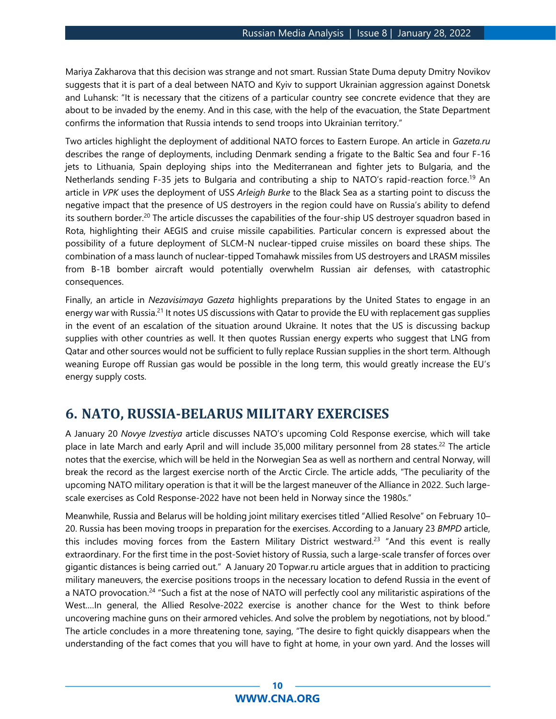Mariya Zakharova that this decision was strange and not smart. Russian State Duma deputy Dmitry Novikov suggests that it is part of a deal between NATO and Kyiv to support Ukrainian aggression against Donetsk and Luhansk: "It is necessary that the citizens of a particular country see concrete evidence that they are about to be invaded by the enemy. And in this case, with the help of the evacuation, the State Department confirms the information that Russia intends to send troops into Ukrainian territory."

Two articles highlight the deployment of additional NATO forces to Eastern Europe. An article in *Gazeta.ru* describes the range of deployments, including Denmark sending a frigate to the Baltic Sea and four F-16 jets to Lithuania, Spain deploying ships into the Mediterranean and fighter jets to Bulgaria, and the Netherlands sending F-35 jets to Bulgaria and contributing a ship to NATO's rapid-reaction force.<sup>19</sup> An article in *VPK* uses the deployment of USS *Arleigh Burke* to the Black Sea as a starting point to discuss the negative impact that the presence of US destroyers in the region could have on Russia's ability to defend its southern border.<sup>20</sup> The article discusses the capabilities of the four-ship US destroyer squadron based in Rota, highlighting their AEGIS and cruise missile capabilities. Particular concern is expressed about the possibility of a future deployment of SLCM-N nuclear-tipped cruise missiles on board these ships. The combination of a mass launch of nuclear-tipped Tomahawk missiles from US destroyers and LRASM missiles from B-1B bomber aircraft would potentially overwhelm Russian air defenses, with catastrophic consequences.

Finally, an article in *Nezavisimaya Gazeta* highlights preparations by the United States to engage in an energy war with Russia.<sup>21</sup> It notes US discussions with Qatar to provide the EU with replacement gas supplies in the event of an escalation of the situation around Ukraine. It notes that the US is discussing backup supplies with other countries as well. It then quotes Russian energy experts who suggest that LNG from Qatar and other sources would not be sufficient to fully replace Russian supplies in the short term. Although weaning Europe off Russian gas would be possible in the long term, this would greatly increase the EU's energy supply costs.

### <span id="page-9-0"></span>**6. NATO, RUSSIA-BELARUS MILITARY EXERCISES**

A January 20 *Novye Izvestiya* article discusses NATO's upcoming Cold Response exercise, which will take place in late March and early April and will include 35,000 military personnel from 28 states.<sup>22</sup> The article notes that the exercise, which will be held in the Norwegian Sea as well as northern and central Norway, will break the record as the largest exercise north of the Arctic Circle. The article adds, "The peculiarity of the upcoming NATO military operation is that it will be the largest maneuver of the Alliance in 2022. Such largescale exercises as Cold Response-2022 have not been held in Norway since the 1980s."

Meanwhile, Russia and Belarus will be holding joint military exercises titled "Allied Resolve" on February 10– 20. Russia has been moving troops in preparation for the exercises. According to a January 23 *BMPD* article, this includes moving forces from the Eastern Military District westward.<sup>23</sup> "And this event is really extraordinary. For the first time in the post-Soviet history of Russia, such a large-scale transfer of forces over gigantic distances is being carried out." A January 20 Topwar.ru article argues that in addition to practicing military maneuvers, the exercise positions troops in the necessary location to defend Russia in the event of a NATO provocation.<sup>24</sup> "Such a fist at the nose of NATO will perfectly cool any militaristic aspirations of the West.…In general, the Allied Resolve-2022 exercise is another chance for the West to think before uncovering machine guns on their armored vehicles. And solve the problem by negotiations, not by blood." The article concludes in a more threatening tone, saying, "The desire to fight quickly disappears when the understanding of the fact comes that you will have to fight at home, in your own yard. And the losses will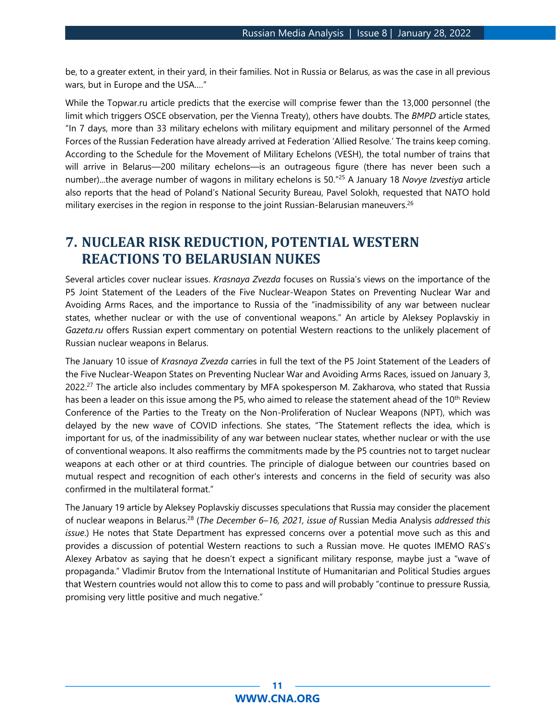be, to a greater extent, in their yard, in their families. Not in Russia or Belarus, as was the case in all previous wars, but in Europe and the USA.…"

While the Topwar.ru article predicts that the exercise will comprise fewer than the 13,000 personnel (the limit which triggers OSCE observation, per the Vienna Treaty), others have doubts. The *BMPD* article states, "In 7 days, more than 33 military echelons with military equipment and military personnel of the Armed Forces of the Russian Federation have already arrived at Federation 'Allied Resolve.' The trains keep coming. According to the Schedule for the Movement of Military Echelons (VESH), the total number of trains that will arrive in Belarus—200 military echelons—is an outrageous figure (there has never been such a number)...the average number of wagons in military echelons is 50."<sup>25</sup> A January 18 *Novye Izvestiya* article also reports that the head of Poland's National Security Bureau, Pavel Solokh, requested that NATO hold military exercises in the region in response to the joint Russian-Belarusian maneuvers.<sup>26</sup>

## <span id="page-10-0"></span>**7. NUCLEAR RISK REDUCTION, POTENTIAL WESTERN REACTIONS TO BELARUSIAN NUKES**

Several articles cover nuclear issues. *Krasnaya Zvezda* focuses on Russia's views on the importance of the P5 Joint Statement of the Leaders of the Five Nuclear-Weapon States on Preventing Nuclear War and Avoiding Arms Races, and the importance to Russia of the "inadmissibility of any war between nuclear states, whether nuclear or with the use of conventional weapons." An article by Aleksey Poplavskiy in *Gazeta.ru* offers Russian expert commentary on potential Western reactions to the unlikely placement of Russian nuclear weapons in Belarus.

The January 10 issue of *Krasnaya Zvezda* carries in full the text of the P5 Joint Statement of the Leaders of the Five Nuclear-Weapon States on Preventing Nuclear War and Avoiding Arms Races, issued on January 3, 2022.<sup>27</sup> The article also includes commentary by MFA spokesperson M. Zakharova, who stated that Russia has been a leader on this issue among the P5, who aimed to release the statement ahead of the 10<sup>th</sup> Review Conference of the Parties to the Treaty on the Non-Proliferation of Nuclear Weapons (NPT), which was delayed by the new wave of COVID infections. She states, "The Statement reflects the idea, which is important for us, of the inadmissibility of any war between nuclear states, whether nuclear or with the use of conventional weapons. It also reaffirms the commitments made by the P5 countries not to target nuclear weapons at each other or at third countries. The principle of dialogue between our countries based on mutual respect and recognition of each other's interests and concerns in the field of security was also confirmed in the multilateral format."

The January 19 article by Aleksey Poplavskiy discusses speculations that Russia may consider the placement of nuclear weapons in Belarus.<sup>28</sup> (*The December 6–16, 2021, issue of* Russian Media Analysis *addressed this issue*.) He notes that State Department has expressed concerns over a potential move such as this and provides a discussion of potential Western reactions to such a Russian move. He quotes IMEMO RAS's Alexey Arbatov as saying that he doesn't expect a significant military response, maybe just a "wave of propaganda." Vladimir Brutov from the International Institute of Humanitarian and Political Studies argues that Western countries would not allow this to come to pass and will probably "continue to pressure Russia, promising very little positive and much negative."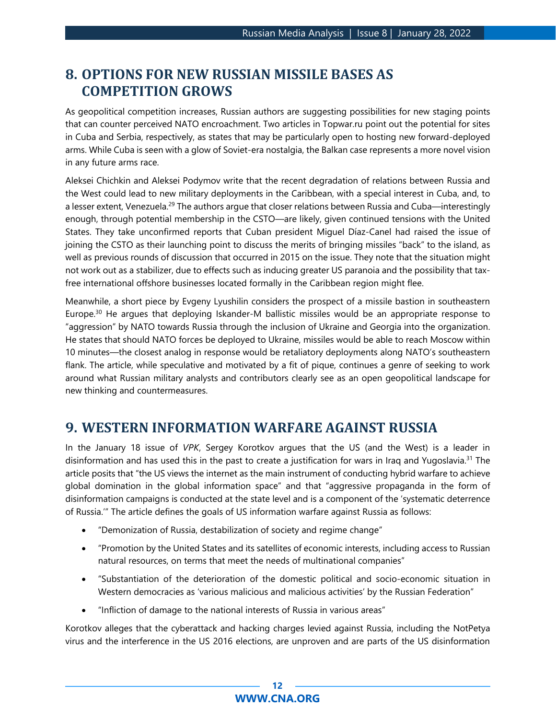## <span id="page-11-0"></span>**8. OPTIONS FOR NEW RUSSIAN MISSILE BASES AS COMPETITION GROWS**

As geopolitical competition increases, Russian authors are suggesting possibilities for new staging points that can counter perceived NATO encroachment. Two articles in Topwar.ru point out the potential for sites in Cuba and Serbia, respectively, as states that may be particularly open to hosting new forward-deployed arms. While Cuba is seen with a glow of Soviet-era nostalgia, the Balkan case represents a more novel vision in any future arms race.

Aleksei Chichkin and Aleksei Podymov write that the recent degradation of relations between Russia and the West could lead to new military deployments in the Caribbean, with a special interest in Cuba, and, to a lesser extent, Venezuela.<sup>29</sup> The authors argue that closer relations between Russia and Cuba—interestingly enough, through potential membership in the CSTO—are likely, given continued tensions with the United States. They take unconfirmed reports that Cuban president Miguel Díaz-Canel had raised the issue of joining the CSTO as their launching point to discuss the merits of bringing missiles "back" to the island, as well as previous rounds of discussion that occurred in 2015 on the issue. They note that the situation might not work out as a stabilizer, due to effects such as inducing greater US paranoia and the possibility that taxfree international offshore businesses located formally in the Caribbean region might flee.

Meanwhile, a short piece by Evgeny Lyushilin considers the prospect of a missile bastion in southeastern Europe.<sup>30</sup> He argues that deploying Iskander-M ballistic missiles would be an appropriate response to "aggression" by NATO towards Russia through the inclusion of Ukraine and Georgia into the organization. He states that should NATO forces be deployed to Ukraine, missiles would be able to reach Moscow within 10 minutes—the closest analog in response would be retaliatory deployments along NATO's southeastern flank. The article, while speculative and motivated by a fit of pique, continues a genre of seeking to work around what Russian military analysts and contributors clearly see as an open geopolitical landscape for new thinking and countermeasures.

## <span id="page-11-1"></span>**9. WESTERN INFORMATION WARFARE AGAINST RUSSIA**

In the January 18 issue of *VPK*, Sergey Korotkov argues that the US (and the West) is a leader in disinformation and has used this in the past to create a justification for wars in Iraq and Yugoslavia.<sup>31</sup> The article posits that "the US views the internet as the main instrument of conducting hybrid warfare to achieve global domination in the global information space" and that "aggressive propaganda in the form of disinformation campaigns is conducted at the state level and is a component of the 'systematic deterrence of Russia.'" The article defines the goals of US information warfare against Russia as follows:

- "Demonization of Russia, destabilization of society and regime change"
- "Promotion by the United States and its satellites of economic interests, including access to Russian natural resources, on terms that meet the needs of multinational companies"
- "Substantiation of the deterioration of the domestic political and socio-economic situation in Western democracies as 'various malicious and malicious activities' by the Russian Federation"
- "Infliction of damage to the national interests of Russia in various areas"

Korotkov alleges that the cyberattack and hacking charges levied against Russia, including the NotPetya virus and the interference in the US 2016 elections, are unproven and are parts of the US disinformation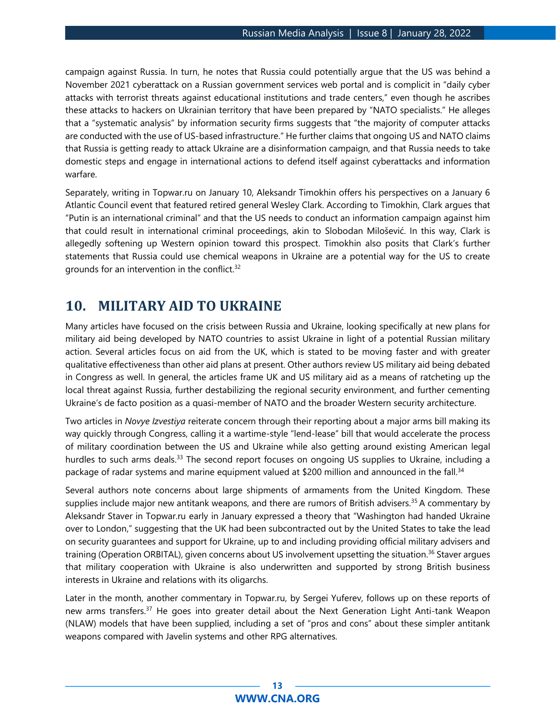campaign against Russia. In turn, he notes that Russia could potentially argue that the US was behind a November 2021 cyberattack on a Russian government services web portal and is complicit in "daily cyber attacks with terrorist threats against educational institutions and trade centers," even though he ascribes these attacks to hackers on Ukrainian territory that have been prepared by "NATO specialists." He alleges that a "systematic analysis" by information security firms suggests that "the majority of computer attacks are conducted with the use of US-based infrastructure." He further claims that ongoing US and NATO claims that Russia is getting ready to attack Ukraine are a disinformation campaign, and that Russia needs to take domestic steps and engage in international actions to defend itself against cyberattacks and information warfare.

Separately, writing in Topwar.ru on January 10, Aleksandr Timokhin offers his perspectives on a January 6 Atlantic Council event that featured retired general Wesley Clark. According to Timokhin, Clark argues that "Putin is an international criminal" and that the US needs to conduct an information campaign against him that could result in international criminal proceedings, akin to Slobodan Milošević. In this way, Clark is allegedly softening up Western opinion toward this prospect. Timokhin also posits that Clark's further statements that Russia could use chemical weapons in Ukraine are a potential way for the US to create grounds for an intervention in the conflict.<sup>32</sup>

### <span id="page-12-0"></span>**10. MILITARY AID TO UKRAINE**

Many articles have focused on the crisis between Russia and Ukraine, looking specifically at new plans for military aid being developed by NATO countries to assist Ukraine in light of a potential Russian military action. Several articles focus on aid from the UK, which is stated to be moving faster and with greater qualitative effectiveness than other aid plans at present. Other authors review US military aid being debated in Congress as well. In general, the articles frame UK and US military aid as a means of ratcheting up the local threat against Russia, further destabilizing the regional security environment, and further cementing Ukraine's de facto position as a quasi-member of NATO and the broader Western security architecture.

Two articles in *Novye Izvestiya* reiterate concern through their reporting about a major arms bill making its way quickly through Congress, calling it a wartime-style "lend-lease" bill that would accelerate the process of military coordination between the US and Ukraine while also getting around existing American legal hurdles to such arms deals.<sup>33</sup> The second report focuses on ongoing US supplies to Ukraine, including a package of radar systems and marine equipment valued at \$200 million and announced in the fall.<sup>34</sup>

Several authors note concerns about large shipments of armaments from the United Kingdom. These supplies include major new antitank weapons, and there are rumors of British advisers.<sup>35</sup> A commentary by Aleksandr Staver in Topwar.ru early in January expressed a theory that "Washington had handed Ukraine over to London," suggesting that the UK had been subcontracted out by the United States to take the lead on security guarantees and support for Ukraine, up to and including providing official military advisers and training (Operation ORBITAL), given concerns about US involvement upsetting the situation.<sup>36</sup> Staver argues that military cooperation with Ukraine is also underwritten and supported by strong British business interests in Ukraine and relations with its oligarchs.

Later in the month, another commentary in Topwar.ru, by Sergei Yuferev, follows up on these reports of new arms transfers.<sup>37</sup> He goes into greater detail about the Next Generation Light Anti-tank Weapon (NLAW) models that have been supplied, including a set of "pros and cons" about these simpler antitank weapons compared with Javelin systems and other RPG alternatives.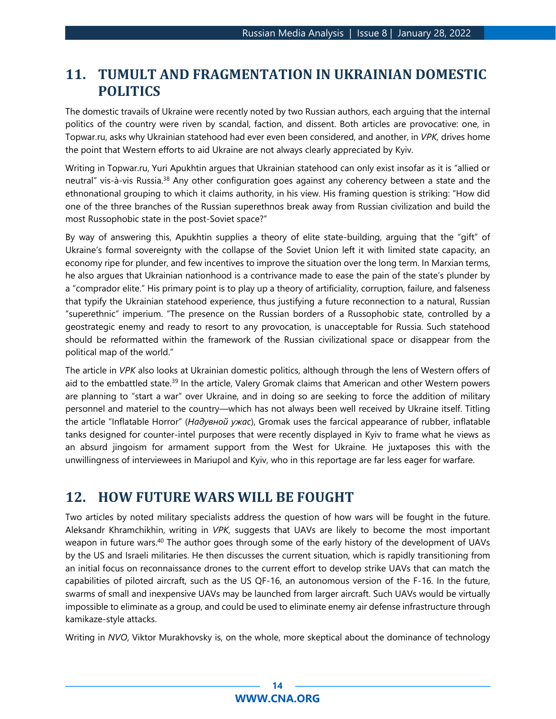## <span id="page-13-0"></span>**11. TUMULT AND FRAGMENTATION IN UKRAINIAN DOMESTIC POLITICS**

The domestic travails of Ukraine were recently noted by two Russian authors, each arguing that the internal politics of the country were riven by scandal, faction, and dissent. Both articles are provocative: one, in Topwar.ru, asks why Ukrainian statehood had ever even been considered, and another, in *VPK,* drives home the point that Western efforts to aid Ukraine are not always clearly appreciated by Kyiv.

Writing in Topwar.ru, Yuri Apukhtin argues that Ukrainian statehood can only exist insofar as it is "allied or neutral" vis-à-vis Russia.<sup>38</sup> Any other configuration goes against any coherency between a state and the ethnonational grouping to which it claims authority, in his view. His framing question is striking: "How did one of the three branches of the Russian superethnos break away from Russian civilization and build the most Russophobic state in the post-Soviet space?"

By way of answering this, Apukhtin supplies a theory of elite state-building, arguing that the "gift" of Ukraine's formal sovereignty with the collapse of the Soviet Union left it with limited state capacity, an economy ripe for plunder, and few incentives to improve the situation over the long term. In Marxian terms, he also argues that Ukrainian nationhood is a contrivance made to ease the pain of the state's plunder by a "comprador elite." His primary point is to play up a theory of artificiality, corruption, failure, and falseness that typify the Ukrainian statehood experience, thus justifying a future reconnection to a natural, Russian "superethnic" imperium. "The presence on the Russian borders of a Russophobic state, controlled by a geostrategic enemy and ready to resort to any provocation, is unacceptable for Russia. Such statehood should be reformatted within the framework of the Russian civilizational space or disappear from the political map of the world."

The article in *VPK* also looks at Ukrainian domestic politics, although through the lens of Western offers of aid to the embattled state.<sup>39</sup> In the article, Valery Gromak claims that American and other Western powers are planning to "start a war" over Ukraine, and in doing so are seeking to force the addition of military personnel and materiel to the country—which has not always been well received by Ukraine itself. Titling the article "Inflatable Horror" (*Надувной ужас*), Gromak uses the farcical appearance of rubber, inflatable tanks designed for counter-intel purposes that were recently displayed in Kyiv to frame what he views as an absurd jingoism for armament support from the West for Ukraine. He juxtaposes this with the unwillingness of interviewees in Mariupol and Kyiv, who in this reportage are far less eager for warfare.

### <span id="page-13-1"></span>**12. HOW FUTURE WARS WILL BE FOUGHT**

Two articles by noted military specialists address the question of how wars will be fought in the future. Aleksandr Khramchikhin, writing in *VPK,* suggests that UAVs are likely to become the most important weapon in future wars.<sup>40</sup> The author goes through some of the early history of the development of UAVs by the US and Israeli militaries. He then discusses the current situation, which is rapidly transitioning from an initial focus on reconnaissance drones to the current effort to develop strike UAVs that can match the capabilities of piloted aircraft, such as the US QF-16, an autonomous version of the F-16. In the future, swarms of small and inexpensive UAVs may be launched from larger aircraft. Such UAVs would be virtually impossible to eliminate as a group, and could be used to eliminate enemy air defense infrastructure through kamikaze-style attacks.

Writing in *NVO*, Viktor Murakhovsky is, on the whole, more skeptical about the dominance of technology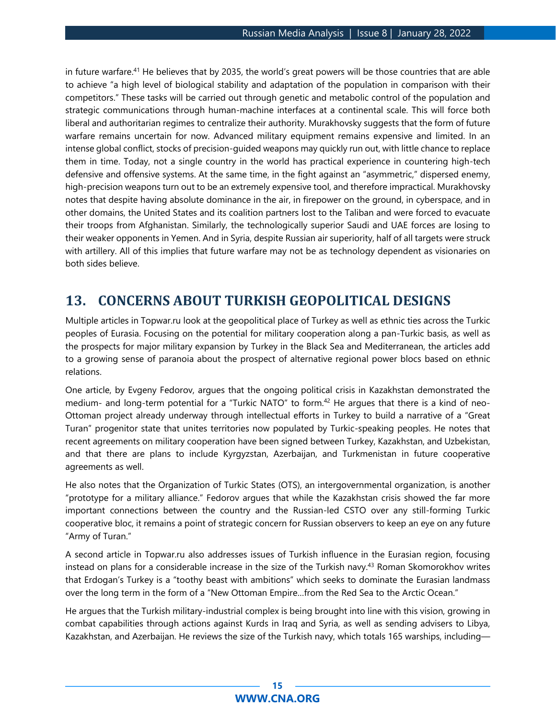in future warfare.<sup>41</sup> He believes that by 2035, the world's great powers will be those countries that are able to achieve "a high level of biological stability and adaptation of the population in comparison with their competitors." These tasks will be carried out through genetic and metabolic control of the population and strategic communications through human-machine interfaces at a continental scale. This will force both liberal and authoritarian regimes to centralize their authority. Murakhovsky suggests that the form of future warfare remains uncertain for now. Advanced military equipment remains expensive and limited. In an intense global conflict, stocks of precision-guided weapons may quickly run out, with little chance to replace them in time. Today, not a single country in the world has practical experience in countering high-tech defensive and offensive systems. At the same time, in the fight against an "asymmetric," dispersed enemy, high-precision weapons turn out to be an extremely expensive tool, and therefore impractical. Murakhovsky notes that despite having absolute dominance in the air, in firepower on the ground, in cyberspace, and in other domains, the United States and its coalition partners lost to the Taliban and were forced to evacuate their troops from Afghanistan. Similarly, the technologically superior Saudi and UAE forces are losing to their weaker opponents in Yemen. And in Syria, despite Russian air superiority, half of all targets were struck with artillery. All of this implies that future warfare may not be as technology dependent as visionaries on both sides believe.

### <span id="page-14-0"></span>**13. CONCERNS ABOUT TURKISH GEOPOLITICAL DESIGNS**

Multiple articles in Topwar.ru look at the geopolitical place of Turkey as well as ethnic ties across the Turkic peoples of Eurasia. Focusing on the potential for military cooperation along a pan-Turkic basis, as well as the prospects for major military expansion by Turkey in the Black Sea and Mediterranean, the articles add to a growing sense of paranoia about the prospect of alternative regional power blocs based on ethnic relations.

One article, by Evgeny Fedorov, argues that the ongoing political crisis in Kazakhstan demonstrated the medium- and long-term potential for a "Turkic NATO" to form.<sup>42</sup> He argues that there is a kind of neo-Ottoman project already underway through intellectual efforts in Turkey to build a narrative of a "Great Turan" progenitor state that unites territories now populated by Turkic-speaking peoples. He notes that recent agreements on military cooperation have been signed between Turkey, Kazakhstan, and Uzbekistan, and that there are plans to include Kyrgyzstan, Azerbaijan, and Turkmenistan in future cooperative agreements as well.

He also notes that the Organization of Turkic States (OTS), an intergovernmental organization, is another "prototype for a military alliance." Fedorov argues that while the Kazakhstan crisis showed the far more important connections between the country and the Russian-led CSTO over any still-forming Turkic cooperative bloc, it remains a point of strategic concern for Russian observers to keep an eye on any future "Army of Turan."

A second article in Topwar.ru also addresses issues of Turkish influence in the Eurasian region, focusing instead on plans for a considerable increase in the size of the Turkish navy.<sup>43</sup> Roman Skomorokhov writes that Erdogan's Turkey is a "toothy beast with ambitions" which seeks to dominate the Eurasian landmass over the long term in the form of a "New Ottoman Empire…from the Red Sea to the Arctic Ocean."

He argues that the Turkish military-industrial complex is being brought into line with this vision, growing in combat capabilities through actions against Kurds in Iraq and Syria, as well as sending advisers to Libya, Kazakhstan, and Azerbaijan. He reviews the size of the Turkish navy, which totals 165 warships, including—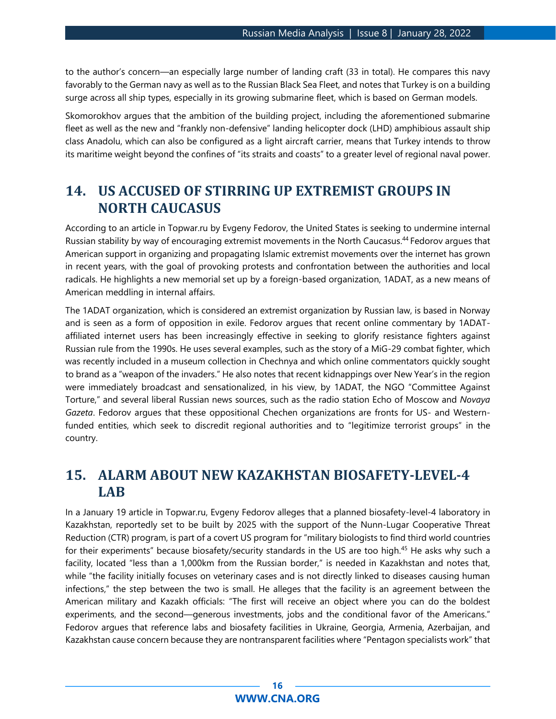to the author's concern—an especially large number of landing craft (33 in total). He compares this navy favorably to the German navy as well as to the Russian Black Sea Fleet, and notes that Turkey is on a building surge across all ship types, especially in its growing submarine fleet, which is based on German models.

Skomorokhov argues that the ambition of the building project, including the aforementioned submarine fleet as well as the new and "frankly non-defensive" landing helicopter dock (LHD) amphibious assault ship class Anadolu, which can also be configured as a light aircraft carrier, means that Turkey intends to throw its maritime weight beyond the confines of "its straits and coasts" to a greater level of regional naval power.

## <span id="page-15-0"></span>**14. US ACCUSED OF STIRRING UP EXTREMIST GROUPS IN NORTH CAUCASUS**

According to an article in Topwar.ru by Evgeny Fedorov, the United States is seeking to undermine internal Russian stability by way of encouraging extremist movements in the North Caucasus.<sup>44</sup> Fedorov argues that American support in organizing and propagating Islamic extremist movements over the internet has grown in recent years, with the goal of provoking protests and confrontation between the authorities and local radicals. He highlights a new memorial set up by a foreign-based organization, 1ADAT, as a new means of American meddling in internal affairs.

The 1ADAT organization, which is considered an extremist organization by Russian law, is based in Norway and is seen as a form of opposition in exile. Fedorov argues that recent online commentary by 1ADATaffiliated internet users has been increasingly effective in seeking to glorify resistance fighters against Russian rule from the 1990s. He uses several examples, such as the story of a MiG-29 combat fighter, which was recently included in a museum collection in Chechnya and which online commentators quickly sought to brand as a "weapon of the invaders." He also notes that recent kidnappings over New Year's in the region were immediately broadcast and sensationalized, in his view, by 1ADAT, the NGO "Committee Against Torture," and several liberal Russian news sources, such as the radio station Echo of Moscow and *Novaya Gazeta*. Fedorov argues that these oppositional Chechen organizations are fronts for US- and Westernfunded entities, which seek to discredit regional authorities and to "legitimize terrorist groups" in the country.

## <span id="page-15-1"></span>**15. ALARM ABOUT NEW KAZAKHSTAN BIOSAFETY-LEVEL-4 LAB**

In a January 19 article in Topwar.ru, Evgeny Fedorov alleges that a planned biosafety-level-4 laboratory in Kazakhstan, reportedly set to be built by 2025 with the support of the Nunn-Lugar Cooperative Threat Reduction (CTR) program, is part of a covert US program for "military biologists to find third world countries for their experiments" because biosafety/security standards in the US are too high.<sup>45</sup> He asks why such a facility, located "less than a 1,000km from the Russian border," is needed in Kazakhstan and notes that, while "the facility initially focuses on veterinary cases and is not directly linked to diseases causing human infections," the step between the two is small. He alleges that the facility is an agreement between the American military and Kazakh officials: "The first will receive an object where you can do the boldest experiments, and the second—generous investments, jobs and the conditional favor of the Americans." Fedorov argues that reference labs and biosafety facilities in Ukraine, Georgia, Armenia, Azerbaijan, and Kazakhstan cause concern because they are nontransparent facilities where "Pentagon specialists work" that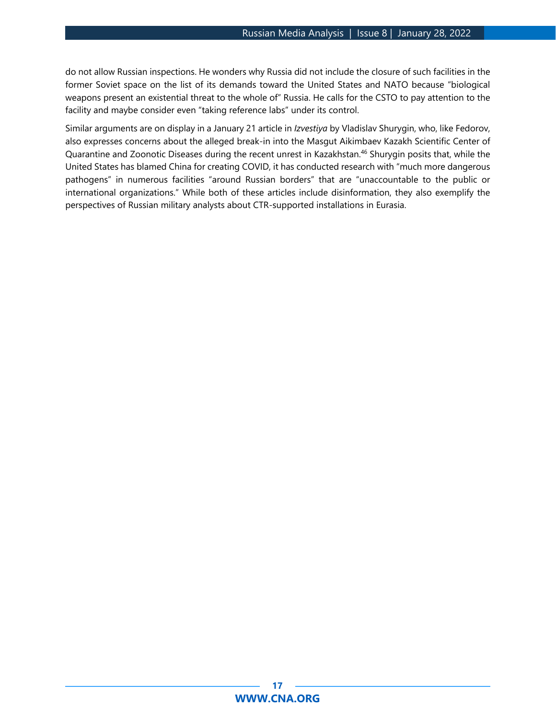do not allow Russian inspections. He wonders why Russia did not include the closure of such facilities in the former Soviet space on the list of its demands toward the United States and NATO because "biological weapons present an existential threat to the whole of" Russia. He calls for the CSTO to pay attention to the facility and maybe consider even "taking reference labs" under its control.

Similar arguments are on display in a January 21 article in *Izvestiya* by Vladislav Shurygin, who, like Fedorov, also expresses concerns about the alleged break-in into the Masgut Aikimbaev Kazakh Scientific Center of Quarantine and Zoonotic Diseases during the recent unrest in Kazakhstan.<sup>46</sup> Shurygin posits that, while the United States has blamed China for creating COVID, it has conducted research with "much more dangerous pathogens" in numerous facilities "around Russian borders" that are "unaccountable to the public or international organizations." While both of these articles include disinformation, they also exemplify the perspectives of Russian military analysts about CTR-supported installations in Eurasia.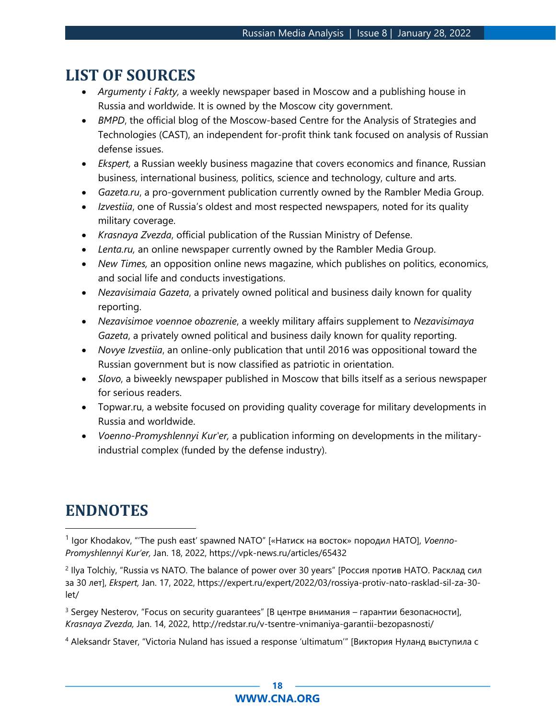## **LIST OF SOURCES**

- *Argumenty i Fakty,* a weekly newspaper based in Moscow and a publishing house in Russia and worldwide. It is owned by the Moscow city government.
- *BMPD*, the official blog of the Moscow-based Centre for the Analysis of Strategies and Technologies (CAST), an independent for-profit think tank focused on analysis of Russian defense issues.
- *Ekspert,* a Russian weekly business magazine that covers economics and finance, Russian business, international business, politics, science and technology, culture and arts.
- *Gazeta.ru*, a pro-government publication currently owned by the Rambler Media Group.
- *Izvestiia*, one of Russia's oldest and most respected newspapers, noted for its quality military coverage.
- *Krasnaya Zvezda*, official publication of the Russian Ministry of Defense.
- *Lenta.ru,* an online newspaper currently owned by the Rambler Media Group.
- *New Times,* an opposition online news magazine, which publishes on politics, economics, and social life and conducts investigations.
- *Nezavisimaia Gazeta*, a privately owned political and business daily known for quality reporting.
- *Nezavisimoe voennoe obozrenie*, a weekly military affairs supplement to *Nezavisimaya Gazeta*, a privately owned political and business daily known for quality reporting.
- *Novye Izvestiia*, an online-only publication that until 2016 was oppositional toward the Russian government but is now classified as patriotic in orientation.
- *Slovo*, a biweekly newspaper published in Moscow that bills itself as a serious newspaper for serious readers.
- Topwar.ru, a website focused on providing quality coverage for military developments in Russia and worldwide.
- *Voenno-Promyshlennyi Kur'er,* a publication informing on developments in the militaryindustrial complex (funded by the defense industry).

## **ENDNOTES**

1 Igor Khodakov, "'The push east' spawned NATO" [«Натиск на восток» породил НАТО], *Voenno-Promyshlennyi Kur'er,* Jan. 18, 2022, https://vpk-news.ru/articles/65432

2 Ilya Tolchiy, "Russia vs NATO. The balance of power over 30 years" [Россия против НАТО. Расклад сил за 30 лет], *Ekspert,* Jan. 17, 2022, https://expert.ru/expert/2022/03/rossiya-protiv-nato-rasklad-sil-za-30 let/

<sup>3</sup> Sergey Nesterov, "Focus on security guarantees" [В центре внимания – гарантии безопасности], *Krasnaya Zvezda,* Jan. 14, 2022, http://redstar.ru/v-tsentre-vnimaniya-garantii-bezopasnosti/

<sup>4</sup> Aleksandr Staver, "Victoria Nuland has issued a response 'ultimatum'" [Виктория Нуланд выступила с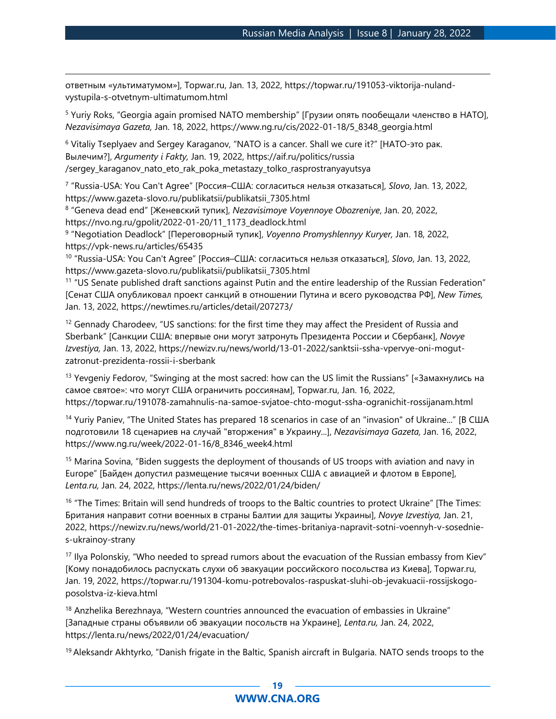ответным «ультиматумом»], Topwar.ru, Jan. 13, 2022, https://topwar.ru/191053-viktorija-nulandvystupila-s-otvetnym-ultimatumom.html

<sup>5</sup> Yuriy Roks, "Georgia again promised NATO membership" [Грузии опять пообещали членство в НАТО], *Nezavisimaya Gazeta,* Jan. 18, 2022, https://www.ng.ru/cis/2022-01-18/5\_8348\_georgia.html

<sup>6</sup> Vitaliy Tseplyaev and Sergey Karaganov, "NATO is a cancer. Shall we cure it?" [НАТО-это рак. Вылечим?], *Argumenty i Fakty,* Jan. 19, 2022, https://aif.ru/politics/russia /sergey\_karaganov\_nato\_eto\_rak\_poka\_metastazy\_tolko\_rasprostranyayutsya

7 "Russia-USA: You Can't Agree" [Россия–США: согласиться нельзя отказаться], *Slovo*, Jan. 13, 2022, https://www.gazeta-slovo.ru/publikatsii/publikatsii\_7305.html

8 "Geneva dead end" [Женевский тупик], *Nezavisimoye Voyennoye Obozreniye*, Jan. 20, 2022, https://nvo.ng.ru/gpolit/2022-01-20/11\_1173\_deadlock.html

9 "Negotiation Deadlock" [Переговорный тупик], *Voyenno Promyshlennyy Kuryer,* Jan. 18, 2022, https://vpk-news.ru/articles/65435

10 "Russia-USA: You Can't Agree" [Россия–США: согласиться нельзя отказаться], *Slovo*, Jan. 13, 2022, https://www.gazeta-slovo.ru/publikatsii/publikatsii\_7305.html

<sup>11</sup> "US Senate published draft sanctions against Putin and the entire leadership of the Russian Federation" [Сенат США опубликовал проект санкций в отношении Путина и всего руководства РФ], *New Times,*  Jan. 13, 2022, https://newtimes.ru/articles/detail/207273/

<sup>12</sup> Gennady Charodeev, "US sanctions: for the first time they may affect the President of Russia and Sberbank" [Санкции США: впервые они могут затронуть Президента России и Сбербанк], *Novye Izvestiya,* Jan. 13, 2022, https://newizv.ru/news/world/13-01-2022/sanktsii-ssha-vpervye-oni-mogutzatronut-prezidenta-rossii-i-sberbank

<sup>13</sup> Yevgeniy Fedorov, "Swinging at the most sacred: how can the US limit the Russians" [«Замахнулись на самое святое»: что могут США ограничить россиянам], Topwar.ru, Jan. 16, 2022, https://topwar.ru/191078-zamahnulis-na-samoe-svjatoe-chto-mogut-ssha-ogranichit-rossijanam.html

<sup>14</sup> Yuriy Paniev, "The United States has prepared 18 scenarios in case of an "invasion" of Ukraine..." [В США подготовили 18 сценариев на случай "вторжения" в Украину...], *Nezavisimaya Gazeta,* Jan. 16, 2022, https://www.ng.ru/week/2022-01-16/8\_8346\_week4.html

<sup>15</sup> Marina Sovina, "Biden suggests the deployment of thousands of US troops with aviation and navy in Europe" [Байден допустил размещение тысячи военных США с авиацией и флотом в Европе], *Lenta.ru,* Jan. 24, 2022, https://lenta.ru/news/2022/01/24/biden/

<sup>16</sup> "The Times: Britain will send hundreds of troops to the Baltic countries to protect Ukraine" [The Times: Британия направит сотни военных в страны Балтии для защиты Украины], *Novye Izvestiya,* Jan. 21, 2022, https://newizv.ru/news/world/21-01-2022/the-times-britaniya-napravit-sotni-voennyh-v-sosednies-ukrainoy-strany

<sup>17</sup> Ilya Polonskiy, "Who needed to spread rumors about the evacuation of the Russian embassy from Kiev" [Кому понадобилось распускать слухи об эвакуации российского посольства из Киева], Topwar.ru, Jan. 19, 2022, https://topwar.ru/191304-komu-potrebovalos-raspuskat-sluhi-ob-jevakuacii-rossijskogoposolstva-iz-kieva.html

 $18$  Anzhelika Berezhnaya, "Western countries announced the evacuation of embassies in Ukraine" [Западные страны объявили об эвакуации посольств на Украине], *Lenta.ru,* Jan. 24, 2022, https://lenta.ru/news/2022/01/24/evacuation/

<sup>19</sup> Aleksandr Akhtyrko, "Danish frigate in the Baltic, Spanish aircraft in Bulgaria. NATO sends troops to the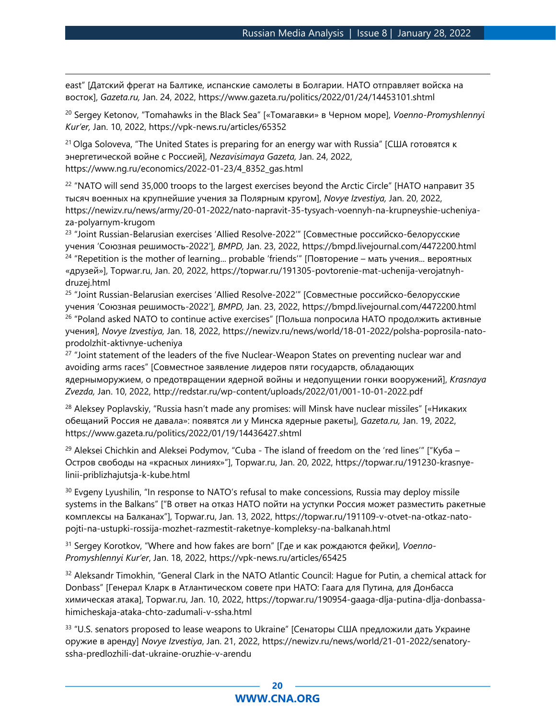east" [Датский фрегат на Балтике, испанские самолеты в Болгарии. НАТО отправляет войска на восток], *Gazeta.ru,* Jan. 24, 2022, https://www.gazeta.ru/politics/2022/01/24/14453101.shtml

<sup>20</sup> Sergey Ketonov, "Tomahawks in the Black Sea" [«Томагавки» в Черном море], *Voenno-Promyshlennyi Kur'er,* Jan. 10, 2022, https://vpk-news.ru/articles/65352

<sup>21</sup> Olga Soloveva, "The United States is preparing for an energy war with Russia" [США готовятся к энергетической войне с Россией], *Nezavisimaya Gazeta,* Jan. 24, 2022, https://www.ng.ru/economics/2022-01-23/4\_8352\_gas.html

<sup>22</sup> "NATO will send 35,000 troops to the largest exercises beyond the Arctic Circle" [НАТО направит 35 тысяч военных на крупнейшие учения за Полярным кругом], *Novye Izvestiya,* Jan. 20, 2022, https://newizv.ru/news/army/20-01-2022/nato-napravit-35-tysyach-voennyh-na-krupneyshie-ucheniyaza-polyarnym-krugom

<sup>23</sup> "Joint Russian-Belarusian exercises 'Allied Resolve-2022'" [Совместные российско-белорусские учения 'Союзная решимость-2022'], *BMPD,* Jan. 23, 2022, https://bmpd.livejournal.com/4472200.html <sup>24</sup> "Repetition is the mother of learning... probable 'friends'" [Повторение – мать учения... вероятных «друзей»], Topwar.ru, Jan. 20, 2022, https://topwar.ru/191305-povtorenie-mat-uchenija-verojatnyhdruzej.html

<sup>25</sup> "Joint Russian-Belarusian exercises 'Allied Resolve-2022'" [Совместные российско-белорусские учения 'Союзная решимость-2022'], *BMPD,* Jan. 23, 2022,<https://bmpd.livejournal.com/4472200.html> <sup>26</sup> "Poland asked NATO to continue active exercises" [Польша попросила НАТО продолжить активные учения], *Novye Izvestiya,* Jan. 18, 2022, https://newizv.ru/news/world/18-01-2022/polsha-poprosila-natoprodolzhit-aktivnye-ucheniya

<sup>27</sup> "Joint statement of the leaders of the five Nuclear-Weapon States on preventing nuclear war and avoiding arms races" [Совместное заявление лидеров пяти государств, обладающих ядерныморужием, о предотвращении ядерной войны и недопущении гонки вооружений], *Krasnaya Zvezda,* Jan. 10, 2022, http://redstar.ru/wp-content/uploads/2022/01/001-10-01-2022.pdf

<sup>28</sup> Aleksey Poplavskiy, "Russia hasn't made any promises: will Minsk have nuclear missiles" [«Никаких обещаний Россия не давала»: появятся ли у Минска ядерные ракеты], *Gazeta.ru,* Jan. 19, 2022, <https://www.gazeta.ru/politics/2022/01/19/14436427.shtml>

<sup>29</sup> Aleksei Chichkin and Aleksei Podymov, "Cuba - The island of freedom on the 'red lines'" ["Куба – Остров свободы на «красных линиях»"], Topwar.ru, Jan. 20, 2022, [https://topwar.ru/191230-krasnye](https://topwar.ru/191230-krasnye-linii-priblizhajutsja-k-kube.html)[linii-priblizhajutsja-k-kube.html](https://topwar.ru/191230-krasnye-linii-priblizhajutsja-k-kube.html)

<sup>30</sup> Evgeny Lyushilin, "In response to NATO's refusal to make concessions, Russia may deploy missile systems in the Balkans" ["В ответ на отказ НАТО пойти на уступки Россия может разместить ракетные комплексы на Балканах"], Topwar.ru, Jan. 13, 2022, [https://topwar.ru/191109-v-otvet-na-otkaz-nato](https://topwar.ru/191109-v-otvet-na-otkaz-nato-pojti-na-ustupki-rossija-mozhet-razmestit-raketnye-kompleksy-na-balkanah.html)[pojti-na-ustupki-rossija-mozhet-razmestit-raketnye-kompleksy-na-balkanah.html](https://topwar.ru/191109-v-otvet-na-otkaz-nato-pojti-na-ustupki-rossija-mozhet-razmestit-raketnye-kompleksy-na-balkanah.html)

<sup>31</sup> Sergey Korotkov, "Where and how fakes are born" [Где и как рождаются фейки], *Voenno-Promyshlennyi Kur'er*, Jan. 18, 2022, https://vpk-news.ru/articles/65425

<sup>32</sup> Aleksandr Timokhin, "General Clark in the NATO Atlantic Council: Hague for Putin, a chemical attack for Donbass" [Генерал Кларк в Атлантическом совете при НАТО: Гаага для Путина, для Донбасса химическая атака], Topwar.ru, Jan. 10, 2022, https://topwar.ru/190954-gaaga-dlja-putina-dlja-donbassahimicheskaja-ataka-chto-zadumali-v-ssha.html

<sup>33</sup> "U.S. senators proposed to lease weapons to Ukraine" [Сенаторы США предложили дать Украине оружие в аренду] *Novye Izvestiya*, Jan. 21, 2022, [https://newizv.ru/news/world/21-01-2022/senatory](https://newizv.ru/news/world/21-01-2022/senatory-ssha-predlozhili-dat-ukraine-oruzhie-v-arendu)[ssha-predlozhili-dat-ukraine-oruzhie-v-arendu](https://newizv.ru/news/world/21-01-2022/senatory-ssha-predlozhili-dat-ukraine-oruzhie-v-arendu)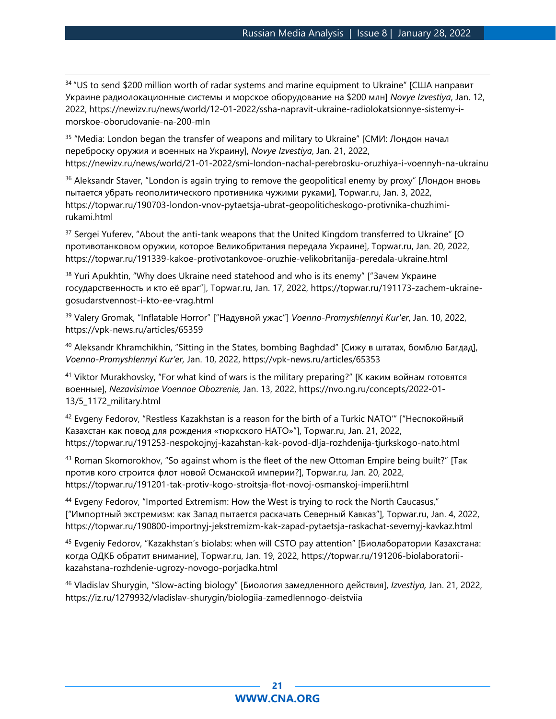<sup>34</sup> "US to send \$200 million worth of radar systems and marine equipment to Ukraine" [США направит Украине радиолокационные системы и морское оборудование на \$200 млн] *Novye Izvestiya*, Jan. 12, 2022, [https://newizv.ru/news/world/12-01-2022/ssha-napravit-ukraine-radiolokatsionnye-sistemy-i](https://newizv.ru/news/world/12-01-2022/ssha-napravit-ukraine-radiolokatsionnye-sistemy-i-morskoe-oborudovanie-na-200-mln)[morskoe-oborudovanie-na-200-mln](https://newizv.ru/news/world/12-01-2022/ssha-napravit-ukraine-radiolokatsionnye-sistemy-i-morskoe-oborudovanie-na-200-mln)

<sup>35</sup> "Media: London began the transfer of weapons and military to Ukraine" [СМИ: Лондон начал переброску оружия и военных на Украину], *Novye Izvestiya*, Jan. 21, 2022, <https://newizv.ru/news/world/21-01-2022/smi-london-nachal-perebrosku-oruzhiya-i-voennyh-na-ukrainu>

<sup>36</sup> Aleksandr Staver, "London is again trying to remove the geopolitical enemy by proxy" [Лондон вновь пытается убрать геополитического противника чужими руками], Topwar.ru, Jan. 3, 2022, [https://topwar.ru/190703-london-vnov-pytaetsja-ubrat-geopoliticheskogo-protivnika-chuzhimi](https://topwar.ru/190703-london-vnov-pytaetsja-ubrat-geopoliticheskogo-protivnika-chuzhimi-rukami.html)[rukami.html](https://topwar.ru/190703-london-vnov-pytaetsja-ubrat-geopoliticheskogo-protivnika-chuzhimi-rukami.html)

37 Sergei Yuferev, "About the anti-tank weapons that the United Kingdom transferred to Ukraine" [O противотанковом оружии, которое Великобритания передала Украине], Topwar.ru, Jan. 20, 2022, <https://topwar.ru/191339-kakoe-protivotankovoe-oruzhie-velikobritanija-peredala-ukraine.html>

<sup>38</sup> Yuri Apukhtin, "Why does Ukraine need statehood and who is its enemy" ["Зачем Украине государственность и кто её враг"], Topwar.ru, Jan. 17, 2022, [https://topwar.ru/191173-zachem-ukraine](https://topwar.ru/191173-zachem-ukraine-gosudarstvennost-i-kto-ee-vrag.html)[gosudarstvennost-i-kto-ee-vrag.html](https://topwar.ru/191173-zachem-ukraine-gosudarstvennost-i-kto-ee-vrag.html)

<sup>39</sup> Valery Gromak, "Inflatable Horror" ["Надувной ужас"] *Voenno-Promyshlennyi Kur'er*, Jan. 10, 2022, <https://vpk-news.ru/articles/65359>

<sup>40</sup> Aleksandr Khramchikhin, "Sitting in the States, bombing Baghdad" [Сижу в штатах, бомблю Багдад], *Voenno-Promyshlennyi Kur'er,* Jan. 10, 2022, https://vpk-news.ru/articles/65353

<sup>41</sup> Viktor Murakhovsky, "For what kind of wars is the military preparing?" [К каким войнам готовятся военные], *Nezavisimoe Voennoe Obozrenie,* Jan. 13, 2022, https://nvo.ng.ru/concepts/2022-01- 13/5\_1172\_military.html

 $42$  Evgeny Fedorov, "Restless Kazakhstan is a reason for the birth of a Turkic NATO" ["Неспокойный Казахстан как повод для рождения «тюркского НАТО»"], Topwar.ru, Jan. 21, 2022, <https://topwar.ru/191253-nespokojnyj-kazahstan-kak-povod-dlja-rozhdenija-tjurkskogo-nato.html>

43 Roman Skomorokhov, "So against whom is the fleet of the new Ottoman Empire being built?" [Tak против кого строится флот новой Османской империи?], Topwar.ru, Jan. 20, 2022, <https://topwar.ru/191201-tak-protiv-kogo-stroitsja-flot-novoj-osmanskoj-imperii.html>

<sup>44</sup> Evgeny Fedorov, "Imported Extremism: How the West is trying to rock the North Caucasus," ["Импортный экстремизм: как Запад пытается раскачать Северный Кавказ"], Topwar.ru, Jan. 4, 2022, <https://topwar.ru/190800-importnyj-jekstremizm-kak-zapad-pytaetsja-raskachat-severnyj-kavkaz.html>

<sup>45</sup> Evgeniy Fedorov, "Kazakhstan's biolabs: when will CSTO pay attention" [Биолаборатории Казахстана: когда ОДКБ обратит внимание], Topwar.ru, Jan. 19, 2022, https://topwar.ru/191206-biolaboratoriikazahstana-rozhdenie-ugrozy-novogo-porjadka.html

<sup>46</sup> Vladislav Shurygin, "Slow-acting biology" [Биология замедленного действия], *Izvestiya,* Jan. 21, 2022, https://iz.ru/1279932/vladislav-shurygin/biologiia-zamedlennogo-deistviia